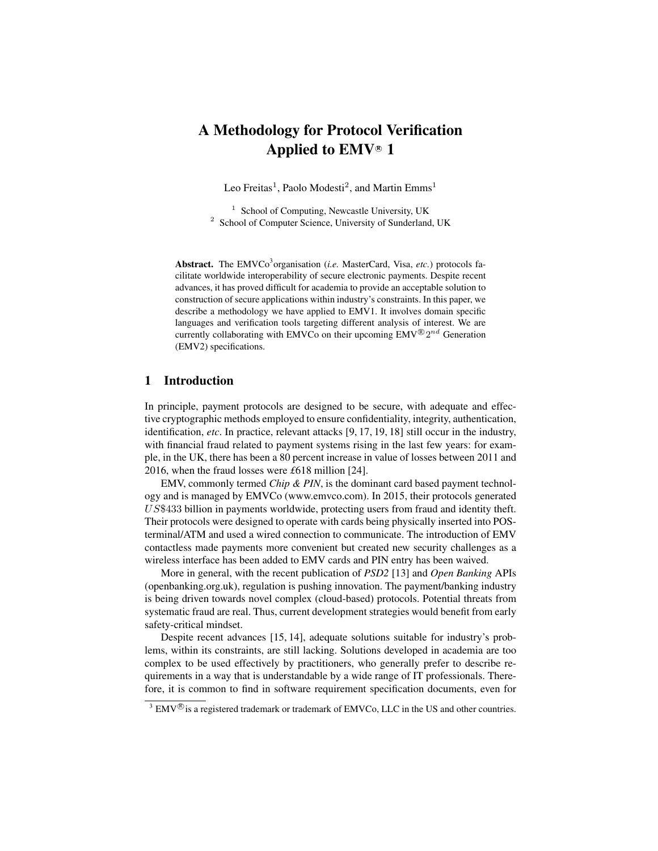# A Methodology for Protocol Verification Applied to EMV<sup>®</sup> 1

Leo Freitas<sup>1</sup>, Paolo Modesti<sup>2</sup>, and Martin Emms<sup>1</sup>

<sup>1</sup> School of Computing, Newcastle University, UK <sup>2</sup> School of Computer Science, University of Sunderland, UK

Abstract. The EMVCo<sup>3</sup>organisation (*i.e.* MasterCard, Visa, etc.) protocols facilitate worldwide interoperability of secure electronic payments. Despite recent advances, it has proved difficult for academia to provide an acceptable solution to construction of secure applications within industry's constraints. In this paper, we describe a methodology we have applied to EMV1. It involves domain specific languages and verification tools targeting different analysis of interest. We are currently collaborating with EMVCo on their upcoming  $EMV^{\mathcal{R}}2^{nd}$  Generation (EMV2) specifications.

# 1 Introduction

In principle, payment protocols are designed to be secure, with adequate and effective cryptographic methods employed to ensure confidentiality, integrity, authentication, identification, *etc*. In practice, relevant attacks [9, 17, 19, 18] still occur in the industry, with financial fraud related to payment systems rising in the last few years: for example, in the UK, there has been a 80 percent increase in value of losses between 2011 and 2016, when the fraud losses were *£*618 million [24].

EMV, commonly termed *Chip & PIN*, is the dominant card based payment technology and is managed by EMVCo (www.emvco.com). In 2015, their protocols generated US\$433 billion in payments worldwide, protecting users from fraud and identity theft. Their protocols were designed to operate with cards being physically inserted into POSterminal/ATM and used a wired connection to communicate. The introduction of EMV contactless made payments more convenient but created new security challenges as a wireless interface has been added to EMV cards and PIN entry has been waived.

More in general, with the recent publication of *PSD2* [13] and *Open Banking* APIs (openbanking.org.uk), regulation is pushing innovation. The payment/banking industry is being driven towards novel complex (cloud-based) protocols. Potential threats from systematic fraud are real. Thus, current development strategies would benefit from early safety-critical mindset.

Despite recent advances [15, 14], adequate solutions suitable for industry's problems, within its constraints, are still lacking. Solutions developed in academia are too complex to be used effectively by practitioners, who generally prefer to describe requirements in a way that is understandable by a wide range of IT professionals. Therefore, it is common to find in software requirement specification documents, even for

 $3$  EMV $\textcircled{\tiny{8}}$  is a registered trademark or trademark of EMVCo, LLC in the US and other countries.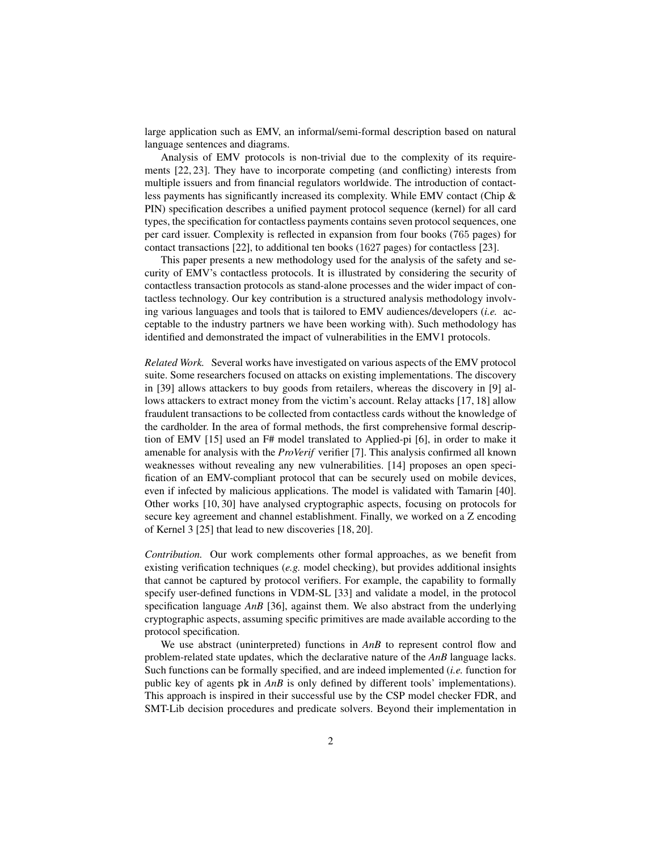large application such as EMV, an informal/semi-formal description based on natural language sentences and diagrams.

Analysis of EMV protocols is non-trivial due to the complexity of its requirements [22, 23]. They have to incorporate competing (and conflicting) interests from multiple issuers and from financial regulators worldwide. The introduction of contactless payments has significantly increased its complexity. While EMV contact (Chip & PIN) specification describes a unified payment protocol sequence (kernel) for all card types, the specification for contactless payments contains seven protocol sequences, one per card issuer. Complexity is reflected in expansion from four books (765 pages) for contact transactions [22], to additional ten books (1627 pages) for contactless [23].

This paper presents a new methodology used for the analysis of the safety and security of EMV's contactless protocols. It is illustrated by considering the security of contactless transaction protocols as stand-alone processes and the wider impact of contactless technology. Our key contribution is a structured analysis methodology involving various languages and tools that is tailored to EMV audiences/developers (*i.e.* acceptable to the industry partners we have been working with). Such methodology has identified and demonstrated the impact of vulnerabilities in the EMV1 protocols.

*Related Work.* Several works have investigated on various aspects of the EMV protocol suite. Some researchers focused on attacks on existing implementations. The discovery in [39] allows attackers to buy goods from retailers, whereas the discovery in [9] allows attackers to extract money from the victim's account. Relay attacks [17, 18] allow fraudulent transactions to be collected from contactless cards without the knowledge of the cardholder. In the area of formal methods, the first comprehensive formal description of EMV [15] used an F# model translated to Applied-pi [6], in order to make it amenable for analysis with the *ProVerif* verifier [7]. This analysis confirmed all known weaknesses without revealing any new vulnerabilities. [14] proposes an open specification of an EMV-compliant protocol that can be securely used on mobile devices, even if infected by malicious applications. The model is validated with Tamarin [40]. Other works [10, 30] have analysed cryptographic aspects, focusing on protocols for secure key agreement and channel establishment. Finally, we worked on a Z encoding of Kernel 3 [25] that lead to new discoveries [18, 20].

*Contribution.* Our work complements other formal approaches, as we benefit from existing verification techniques (*e.g.* model checking), but provides additional insights that cannot be captured by protocol verifiers. For example, the capability to formally specify user-defined functions in VDM-SL [33] and validate a model, in the protocol specification language *AnB* [36], against them. We also abstract from the underlying cryptographic aspects, assuming specific primitives are made available according to the protocol specification.

We use abstract (uninterpreted) functions in *AnB* to represent control flow and problem-related state updates, which the declarative nature of the *AnB* language lacks. Such functions can be formally specified, and are indeed implemented (*i.e.* function for public key of agents pk in *AnB* is only defined by different tools' implementations). This approach is inspired in their successful use by the CSP model checker FDR, and SMT-Lib decision procedures and predicate solvers. Beyond their implementation in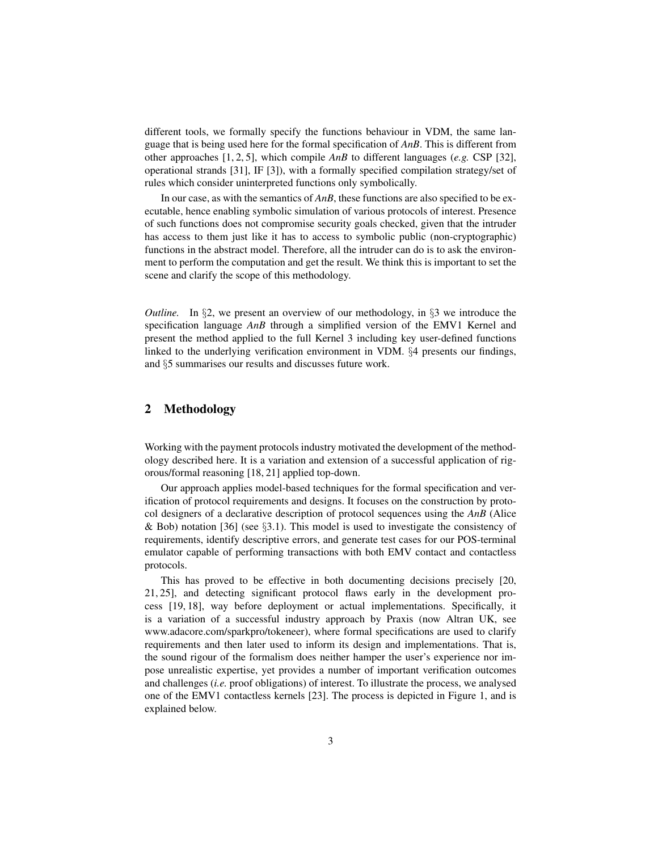different tools, we formally specify the functions behaviour in VDM, the same language that is being used here for the formal specification of *AnB*. This is different from other approaches [1, 2, 5], which compile *AnB* to different languages (*e.g.* CSP [32], operational strands [31], IF [3]), with a formally specified compilation strategy/set of rules which consider uninterpreted functions only symbolically.

In our case, as with the semantics of *AnB*, these functions are also specified to be executable, hence enabling symbolic simulation of various protocols of interest. Presence of such functions does not compromise security goals checked, given that the intruder has access to them just like it has to access to symbolic public (non-cryptographic) functions in the abstract model. Therefore, all the intruder can do is to ask the environment to perform the computation and get the result. We think this is important to set the scene and clarify the scope of this methodology.

*Outline.* In §2, we present an overview of our methodology, in §3 we introduce the specification language *AnB* through a simplified version of the EMV1 Kernel and present the method applied to the full Kernel 3 including key user-defined functions linked to the underlying verification environment in VDM. §4 presents our findings, and §5 summarises our results and discusses future work.

# 2 Methodology

Working with the payment protocols industry motivated the development of the methodology described here. It is a variation and extension of a successful application of rigorous/formal reasoning [18, 21] applied top-down.

Our approach applies model-based techniques for the formal specification and verification of protocol requirements and designs. It focuses on the construction by protocol designers of a declarative description of protocol sequences using the *AnB* (Alice & Bob) notation [36] (see  $\S 3.1$ ). This model is used to investigate the consistency of requirements, identify descriptive errors, and generate test cases for our POS-terminal emulator capable of performing transactions with both EMV contact and contactless protocols.

This has proved to be effective in both documenting decisions precisely [20, 21, 25], and detecting significant protocol flaws early in the development process [19, 18], way before deployment or actual implementations. Specifically, it is a variation of a successful industry approach by Praxis (now Altran UK, see www.adacore.com/sparkpro/tokeneer), where formal specifications are used to clarify requirements and then later used to inform its design and implementations. That is, the sound rigour of the formalism does neither hamper the user's experience nor impose unrealistic expertise, yet provides a number of important verification outcomes and challenges (*i.e.* proof obligations) of interest. To illustrate the process, we analysed one of the EMV1 contactless kernels [23]. The process is depicted in Figure 1, and is explained below.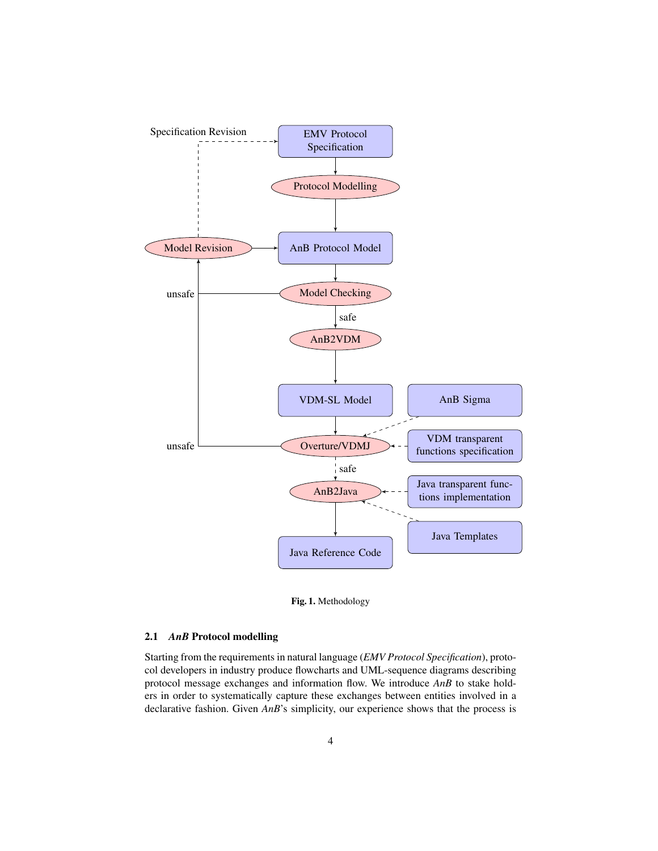

Fig. 1. Methodology

# 2.1 *AnB* Protocol modelling

Starting from the requirements in natural language (*EMV Protocol Specification*), protocol developers in industry produce flowcharts and UML-sequence diagrams describing protocol message exchanges and information flow. We introduce *AnB* to stake holders in order to systematically capture these exchanges between entities involved in a declarative fashion. Given *AnB*'s simplicity, our experience shows that the process is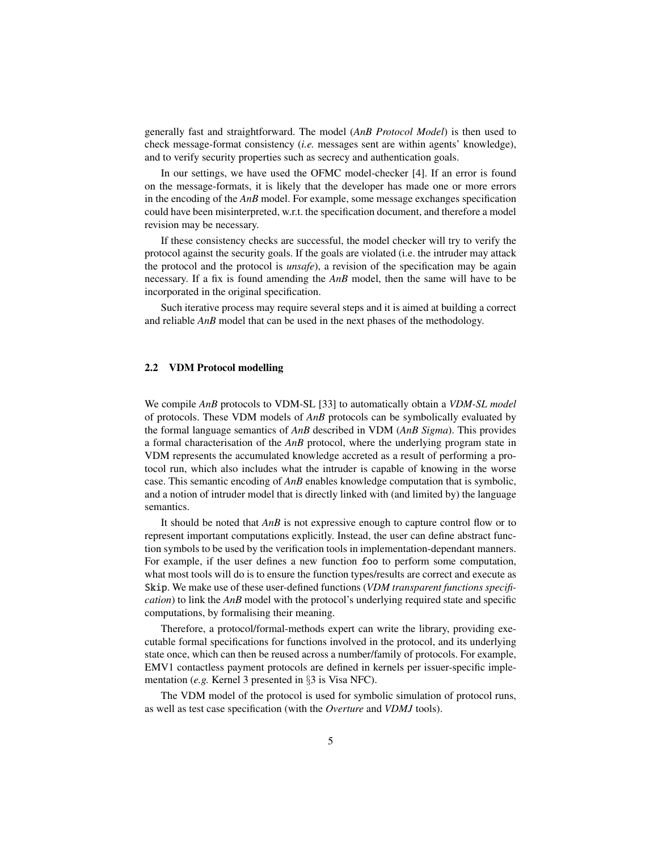generally fast and straightforward. The model (*AnB Protocol Model*) is then used to check message-format consistency (*i.e.* messages sent are within agents' knowledge), and to verify security properties such as secrecy and authentication goals.

In our settings, we have used the OFMC model-checker [4]. If an error is found on the message-formats, it is likely that the developer has made one or more errors in the encoding of the *AnB* model. For example, some message exchanges specification could have been misinterpreted, w.r.t. the specification document, and therefore a model revision may be necessary.

If these consistency checks are successful, the model checker will try to verify the protocol against the security goals. If the goals are violated (i.e. the intruder may attack the protocol and the protocol is *unsafe*), a revision of the specification may be again necessary. If a fix is found amending the *AnB* model, then the same will have to be incorporated in the original specification.

Such iterative process may require several steps and it is aimed at building a correct and reliable *AnB* model that can be used in the next phases of the methodology.

#### 2.2 VDM Protocol modelling

We compile *AnB* protocols to VDM-SL [33] to automatically obtain a *VDM-SL model* of protocols. These VDM models of *AnB* protocols can be symbolically evaluated by the formal language semantics of *AnB* described in VDM (*AnB Sigma*). This provides a formal characterisation of the *AnB* protocol, where the underlying program state in VDM represents the accumulated knowledge accreted as a result of performing a protocol run, which also includes what the intruder is capable of knowing in the worse case. This semantic encoding of *AnB* enables knowledge computation that is symbolic, and a notion of intruder model that is directly linked with (and limited by) the language semantics.

It should be noted that *AnB* is not expressive enough to capture control flow or to represent important computations explicitly. Instead, the user can define abstract function symbols to be used by the verification tools in implementation-dependant manners. For example, if the user defines a new function foo to perform some computation, what most tools will do is to ensure the function types/results are correct and execute as Skip. We make use of these user-defined functions (*VDM transparent functions specification*) to link the *AnB* model with the protocol's underlying required state and specific computations, by formalising their meaning.

Therefore, a protocol/formal-methods expert can write the library, providing executable formal specifications for functions involved in the protocol, and its underlying state once, which can then be reused across a number/family of protocols. For example, EMV1 contactless payment protocols are defined in kernels per issuer-specific implementation (*e.g.* Kernel 3 presented in §3 is Visa NFC).

The VDM model of the protocol is used for symbolic simulation of protocol runs, as well as test case specification (with the *Overture* and *VDMJ* tools).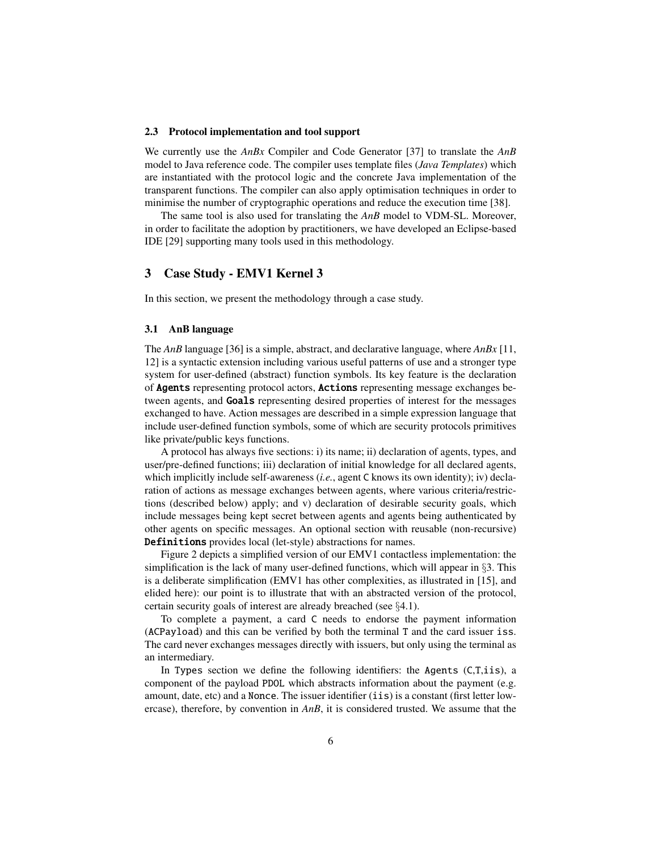#### 2.3 Protocol implementation and tool support

We currently use the *AnBx* Compiler and Code Generator [37] to translate the *AnB* model to Java reference code. The compiler uses template files (*Java Templates*) which are instantiated with the protocol logic and the concrete Java implementation of the transparent functions. The compiler can also apply optimisation techniques in order to minimise the number of cryptographic operations and reduce the execution time [38].

The same tool is also used for translating the *AnB* model to VDM-SL. Moreover, in order to facilitate the adoption by practitioners, we have developed an Eclipse-based IDE [29] supporting many tools used in this methodology.

### 3 Case Study - EMV1 Kernel 3

In this section, we present the methodology through a case study.

### 3.1 AnB language

The *AnB* language [36] is a simple, abstract, and declarative language, where *AnBx* [11, 12] is a syntactic extension including various useful patterns of use and a stronger type system for user-defined (abstract) function symbols. Its key feature is the declaration of Agents representing protocol actors, Actions representing message exchanges between agents, and Goals representing desired properties of interest for the messages exchanged to have. Action messages are described in a simple expression language that include user-defined function symbols, some of which are security protocols primitives like private/public keys functions.

A protocol has always five sections: i) its name; ii) declaration of agents, types, and user/pre-defined functions; iii) declaration of initial knowledge for all declared agents, which implicitly include self-awareness (*i.e.*, agent C knows its own identity); iv) declaration of actions as message exchanges between agents, where various criteria/restrictions (described below) apply; and v) declaration of desirable security goals, which include messages being kept secret between agents and agents being authenticated by other agents on specific messages. An optional section with reusable (non-recursive) Definitions provides local (let-style) abstractions for names.

Figure 2 depicts a simplified version of our EMV1 contactless implementation: the simplification is the lack of many user-defined functions, which will appear in  $\S$ 3. This is a deliberate simplification (EMV1 has other complexities, as illustrated in [15], and elided here): our point is to illustrate that with an abstracted version of the protocol, certain security goals of interest are already breached (see §4.1).

To complete a payment, a card C needs to endorse the payment information (ACPayload) and this can be verified by both the terminal T and the card issuer iss. The card never exchanges messages directly with issuers, but only using the terminal as an intermediary.

In Types section we define the following identifiers: the Agents (C,T,iis), a component of the payload PDOL which abstracts information about the payment (e.g. amount, date, etc) and a Nonce. The issuer identifier (iis) is a constant (first letter lowercase), therefore, by convention in *AnB*, it is considered trusted. We assume that the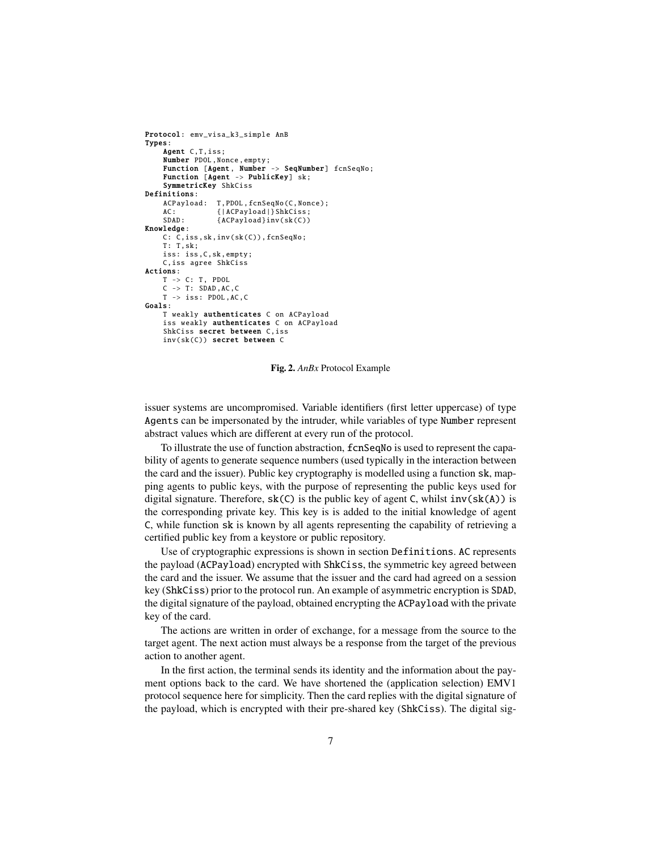```
Protocol: emv visa k3 simple AnB
Types:
   Agent C,T,iss;
    Number PDOL, Nonce, empty;
    Function [Agent, Number -> SeqNumber] fcnSeaNo:
    Function [Agent -> PublicKey] sk;
    SymmetricKey ShkCiss
Definitions:
   ACPayload: T, PDOL, fcnSeqNo(C, Nonce);
    AC: {| ACPayload |} ShkCiss;
    SDAD: {ACPayload}inv(sk(C))
Knowledge:
    C: C,iss ,sk ,inv(sk(C)), fcnSeqNo;
    T: T,sk;
    iss: iss ,C,sk ,empty;
   C,iss agree ShkCiss
Actions:
    T -> C: T, PDOL
   C \rightarrow T: SDAD.AC.C
    T -> iss: PDOL ,AC ,C
Goals:
   T weakly authenticates C on ACPayload
    iss weakly authenticates C on ACPayload
    ShkCiss secret between C, iss
    inv(sk(C)) secret between C
```
Fig. 2. *AnBx* Protocol Example

issuer systems are uncompromised. Variable identifiers (first letter uppercase) of type Agents can be impersonated by the intruder, while variables of type Number represent abstract values which are different at every run of the protocol.

To illustrate the use of function abstraction, fcnSeqNo is used to represent the capability of agents to generate sequence numbers (used typically in the interaction between the card and the issuer). Public key cryptography is modelled using a function sk, mapping agents to public keys, with the purpose of representing the public keys used for digital signature. Therefore,  $sk(C)$  is the public key of agent C, whilst  $inv(sk(A))$  is the corresponding private key. This key is is added to the initial knowledge of agent C, while function sk is known by all agents representing the capability of retrieving a certified public key from a keystore or public repository.

Use of cryptographic expressions is shown in section Definitions. AC represents the payload (ACPayload) encrypted with ShkCiss, the symmetric key agreed between the card and the issuer. We assume that the issuer and the card had agreed on a session key (ShkCiss) prior to the protocol run. An example of asymmetric encryption is SDAD, the digital signature of the payload, obtained encrypting the ACPayload with the private key of the card.

The actions are written in order of exchange, for a message from the source to the target agent. The next action must always be a response from the target of the previous action to another agent.

In the first action, the terminal sends its identity and the information about the payment options back to the card. We have shortened the (application selection) EMV1 protocol sequence here for simplicity. Then the card replies with the digital signature of the payload, which is encrypted with their pre-shared key (ShkCiss). The digital sig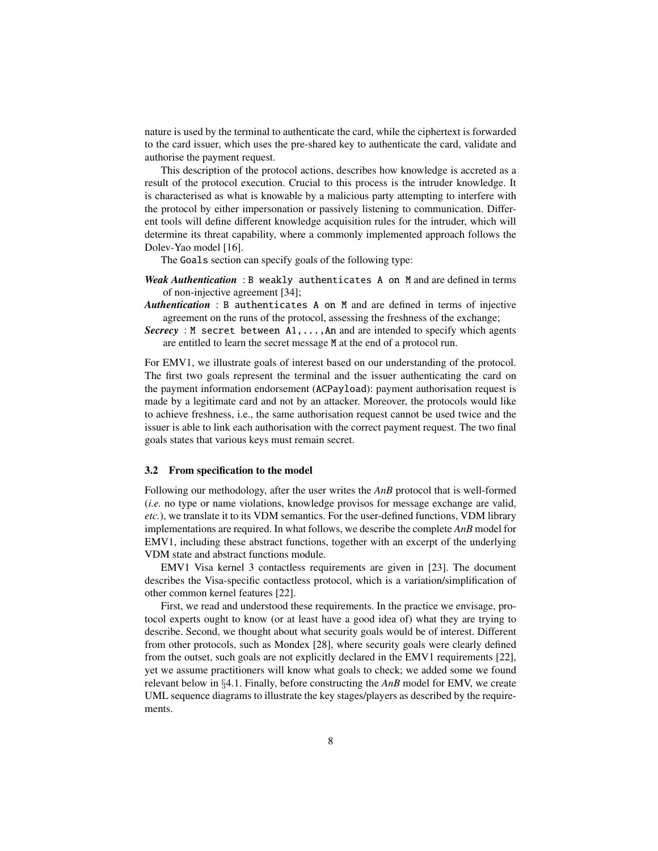nature is used by the terminal to authenticate the card, while the ciphertext is forwarded to the card issuer, which uses the pre-shared key to authenticate the card, validate and authorise the payment request.

This description of the protocol actions, describes how knowledge is accreted as a result of the protocol execution. Crucial to this process is the intruder knowledge. It is characterised as what is knowable by a malicious party attempting to interfere with the protocol by either impersonation or passively listening to communication. Different tools will define different knowledge acquisition rules for the intruder, which will determine its threat capability, where a commonly implemented approach follows the Dolev-Yao model [16].

The Goals section can specify goals of the following type:

- *Weak Authentication* : B weakly authenticates A on M and are defined in terms of non-injective agreement [34];
- *Authentication* : B authenticates A on M and are defined in terms of injective agreement on the runs of the protocol, assessing the freshness of the exchange;
- *Secrecy* : M secret between A1,...,An and are intended to specify which agents are entitled to learn the secret message M at the end of a protocol run.

For EMV1, we illustrate goals of interest based on our understanding of the protocol. The first two goals represent the terminal and the issuer authenticating the card on the payment information endorsement (ACPayload): payment authorisation request is made by a legitimate card and not by an attacker. Moreover, the protocols would like to achieve freshness, i.e., the same authorisation request cannot be used twice and the issuer is able to link each authorisation with the correct payment request. The two final goals states that various keys must remain secret.

#### 3.2 From specification to the model

Following our methodology, after the user writes the *AnB* protocol that is well-formed (*i.e.* no type or name violations, knowledge provisos for message exchange are valid, *etc.*), we translate it to its VDM semantics. For the user-defined functions, VDM library implementations are required. In what follows, we describe the complete *AnB* model for EMV1, including these abstract functions, together with an excerpt of the underlying VDM state and abstract functions module.

EMV1 Visa kernel 3 contactless requirements are given in [23]. The document describes the Visa-specific contactless protocol, which is a variation/simplification of other common kernel features [22].

First, we read and understood these requirements. In the practice we envisage, protocol experts ought to know (or at least have a good idea of) what they are trying to describe. Second, we thought about what security goals would be of interest. Different from other protocols, such as Mondex [28], where security goals were clearly defined from the outset, such goals are not explicitly declared in the EMV1 requirements [22], yet we assume practitioners will know what goals to check; we added some we found relevant below in §4.1. Finally, before constructing the *AnB* model for EMV, we create UML sequence diagrams to illustrate the key stages/players as described by the requirements.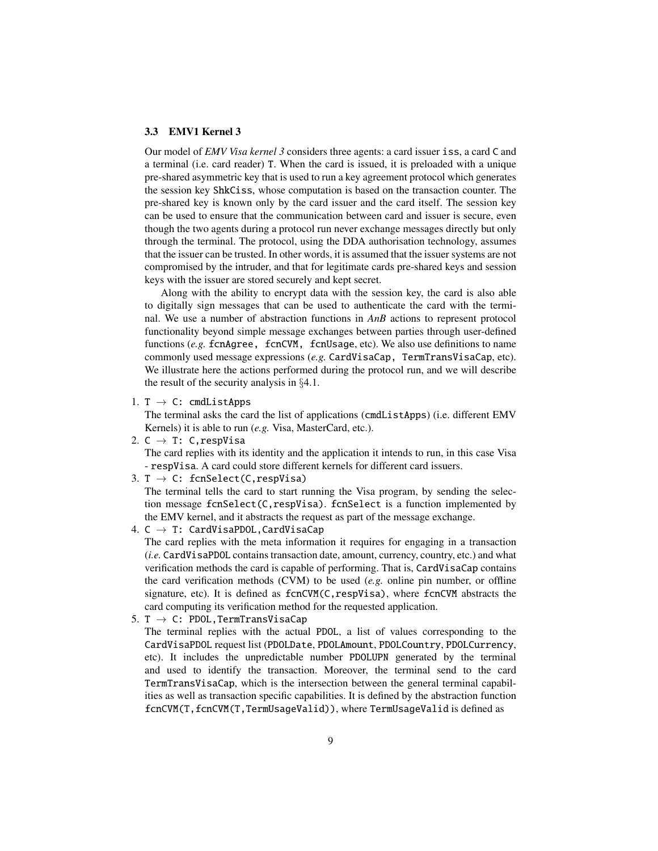### 3.3 EMV1 Kernel 3

Our model of *EMV Visa kernel 3* considers three agents: a card issuer iss, a card C and a terminal (i.e. card reader) T. When the card is issued, it is preloaded with a unique pre-shared asymmetric key that is used to run a key agreement protocol which generates the session key ShkCiss, whose computation is based on the transaction counter. The pre-shared key is known only by the card issuer and the card itself. The session key can be used to ensure that the communication between card and issuer is secure, even though the two agents during a protocol run never exchange messages directly but only through the terminal. The protocol, using the DDA authorisation technology, assumes that the issuer can be trusted. In other words, it is assumed that the issuer systems are not compromised by the intruder, and that for legitimate cards pre-shared keys and session keys with the issuer are stored securely and kept secret.

Along with the ability to encrypt data with the session key, the card is also able to digitally sign messages that can be used to authenticate the card with the terminal. We use a number of abstraction functions in *AnB* actions to represent protocol functionality beyond simple message exchanges between parties through user-defined functions (*e.g.* fcnAgree, fcnCVM, fcnUsage, etc). We also use definitions to name commonly used message expressions (*e.g.* CardVisaCap, TermTransVisaCap, etc). We illustrate here the actions performed during the protocol run, and we will describe the result of the security analysis in §4.1.

1. T  $\rightarrow$  C: cmdListApps

The terminal asks the card the list of applications (cmdListApps) (i.e. different EMV Kernels) it is able to run (*e.g.* Visa, MasterCard, etc.).

- 2.  $C \rightarrow T$ : C, respVisa The card replies with its identity and the application it intends to run, in this case Visa - respVisa. A card could store different kernels for different card issuers.
- 3. T  $\rightarrow$  C: fcnSelect(C, respVisa)

The terminal tells the card to start running the Visa program, by sending the selection message fcnSelect(C,respVisa). fcnSelect is a function implemented by the EMV kernel, and it abstracts the request as part of the message exchange.

4. C  $\rightarrow$  T: CardVisaPDOL,CardVisaCap

The card replies with the meta information it requires for engaging in a transaction (*i.e.* CardVisaPDOL contains transaction date, amount, currency, country, etc.) and what verification methods the card is capable of performing. That is, CardVisaCap contains the card verification methods (CVM) to be used (*e.g.* online pin number, or offline signature, etc). It is defined as fcnCVM(C, respVisa), where fcnCVM abstracts the card computing its verification method for the requested application.

5. T  $\rightarrow$  C: PDOL, TermTransVisaCap

The terminal replies with the actual PDOL, a list of values corresponding to the CardVisaPDOL request list (PDOLDate, PDOLAmount, PDOLCountry, PDOLCurrency, etc). It includes the unpredictable number PDOLUPN generated by the terminal and used to identify the transaction. Moreover, the terminal send to the card TermTransVisaCap, which is the intersection between the general terminal capabilities as well as transaction specific capabilities. It is defined by the abstraction function fcnCVM(T,fcnCVM(T,TermUsageValid)), where TermUsageValid is defined as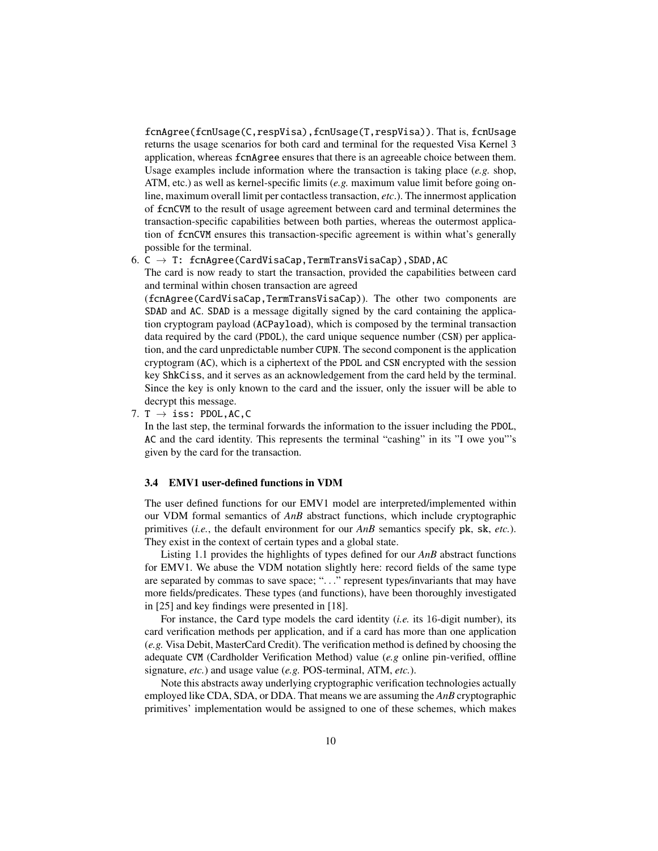fcnAgree(fcnUsage(C,respVisa),fcnUsage(T,respVisa)). That is, fcnUsage returns the usage scenarios for both card and terminal for the requested Visa Kernel 3 application, whereas fcnAgree ensures that there is an agreeable choice between them. Usage examples include information where the transaction is taking place (*e.g.* shop, ATM, etc.) as well as kernel-specific limits (*e.g.* maximum value limit before going online, maximum overall limit per contactless transaction, *etc*.). The innermost application of fcnCVM to the result of usage agreement between card and terminal determines the transaction-specific capabilities between both parties, whereas the outermost application of fcnCVM ensures this transaction-specific agreement is within what's generally possible for the terminal.

### 6.  $C \rightarrow T$ : fcnAgree(CardVisaCap,TermTransVisaCap),SDAD,AC

The card is now ready to start the transaction, provided the capabilities between card and terminal within chosen transaction are agreed

(fcnAgree(CardVisaCap,TermTransVisaCap)). The other two components are SDAD and AC. SDAD is a message digitally signed by the card containing the application cryptogram payload (ACPayload), which is composed by the terminal transaction data required by the card (PDOL), the card unique sequence number (CSN) per application, and the card unpredictable number CUPN. The second component is the application cryptogram (AC), which is a ciphertext of the PDOL and CSN encrypted with the session key ShkCiss, and it serves as an acknowledgement from the card held by the terminal. Since the key is only known to the card and the issuer, only the issuer will be able to decrypt this message.

7. T  $\rightarrow$  iss: PDOL, AC, C

In the last step, the terminal forwards the information to the issuer including the PDOL, AC and the card identity. This represents the terminal "cashing" in its "I owe you"'s given by the card for the transaction.

### 3.4 EMV1 user-defined functions in VDM

The user defined functions for our EMV1 model are interpreted/implemented within our VDM formal semantics of *AnB* abstract functions, which include cryptographic primitives (*i.e.*, the default environment for our *AnB* semantics specify pk, sk, *etc.*). They exist in the context of certain types and a global state.

Listing 1.1 provides the highlights of types defined for our *AnB* abstract functions for EMV1. We abuse the VDM notation slightly here: record fields of the same type are separated by commas to save space; ". . ." represent types/invariants that may have more fields/predicates. These types (and functions), have been thoroughly investigated in [25] and key findings were presented in [18].

For instance, the Card type models the card identity (*i.e.* its 16-digit number), its card verification methods per application, and if a card has more than one application (*e.g.* Visa Debit, MasterCard Credit). The verification method is defined by choosing the adequate CVM (Cardholder Verification Method) value (*e.g* online pin-verified, offline signature, *etc.*) and usage value (*e.g.* POS-terminal, ATM, *etc.*).

Note this abstracts away underlying cryptographic verification technologies actually employed like CDA, SDA, or DDA. That means we are assuming the *AnB* cryptographic primitives' implementation would be assigned to one of these schemes, which makes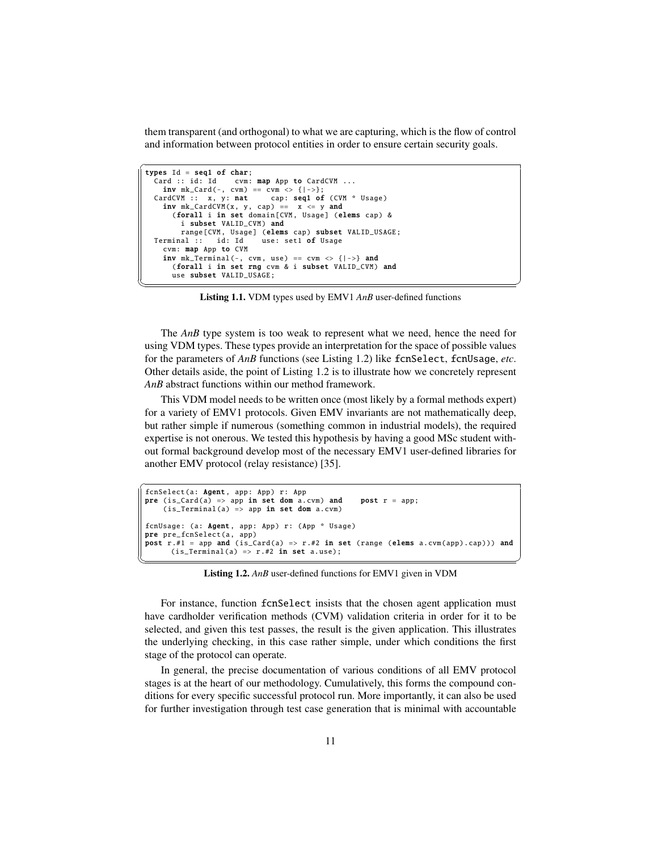them transparent (and orthogonal) to what we are capturing, which is the flow of control and information between protocol entities in order to ensure certain security goals.

```
\sqrt{\text{types Id} = \text{seq1 of char}};
   Card :: id: Id cvm: map App to CardCVM ...
     inv mk_Card(-, cvm) == cvm <> {|->};
   CardCVM :: x, y: nat cap: seq1 of (CVM * Usage)
     inv mk\_CardCVM(x, y, cap) == x \le y and
       (forall i in set domain[CVM , Usage] (elems cap) &
         i subset VALID_CVM) and
   range[CVM, Usage] (elems cap) subset VALID_USAGE;<br>Terminal :: id: Id use: set1 of Usage
                          use: set1 of Usage
     cvm: map App to CVM
     inv mk_Terminal(-, cvm, use) == cvm \iff \{ |-> \} and
       (forall i in set rng cvm & i subset VALID_CVM) and
       use subset VALID_USAGE ;
\overline{\phantom{a}}
```
Listing 1.1. VDM types used by EMV1 *AnB* user-defined functions

The *AnB* type system is too weak to represent what we need, hence the need for using VDM types. These types provide an interpretation for the space of possible values for the parameters of *AnB* functions (see Listing 1.2) like fcnSelect, fcnUsage, *etc*. Other details aside, the point of Listing 1.2 is to illustrate how we concretely represent *AnB* abstract functions within our method framework.

This VDM model needs to be written once (most likely by a formal methods expert) for a variety of EMV1 protocols. Given EMV invariants are not mathematically deep, but rather simple if numerous (something common in industrial models), the required expertise is not onerous. We tested this hypothesis by having a good MSc student without formal background develop most of the necessary EMV1 user-defined libraries for another EMV protocol (relay resistance) [35].

```
fcnSelect(a: Agent, app: App) r: App
 pre (is_Card(a) \Rightarrow app \text{ in set } dom a.cvm) and post r = app;(is_Terminal(a) \Rightarrow app \text{ in set } dom a.cvm)fcnUsage: (a: Agent , app: App) r: (App * Usage)
 pre pre_fcnSelect (a, app)
 post r.+1 = app and (is_Ccard(a) => r.+2 in set (range (elems a.cvm(app).cap))) and
      (is_Terminal(a) \Rightarrow r.*2 in set a.use);
\overline{\phantom{a}}
```
Listing 1.2. *AnB* user-defined functions for EMV1 given in VDM

For instance, function fcnSelect insists that the chosen agent application must have cardholder verification methods (CVM) validation criteria in order for it to be selected, and given this test passes, the result is the given application. This illustrates the underlying checking, in this case rather simple, under which conditions the first stage of the protocol can operate.

In general, the precise documentation of various conditions of all EMV protocol stages is at the heart of our methodology. Cumulatively, this forms the compound conditions for every specific successful protocol run. More importantly, it can also be used for further investigation through test case generation that is minimal with accountable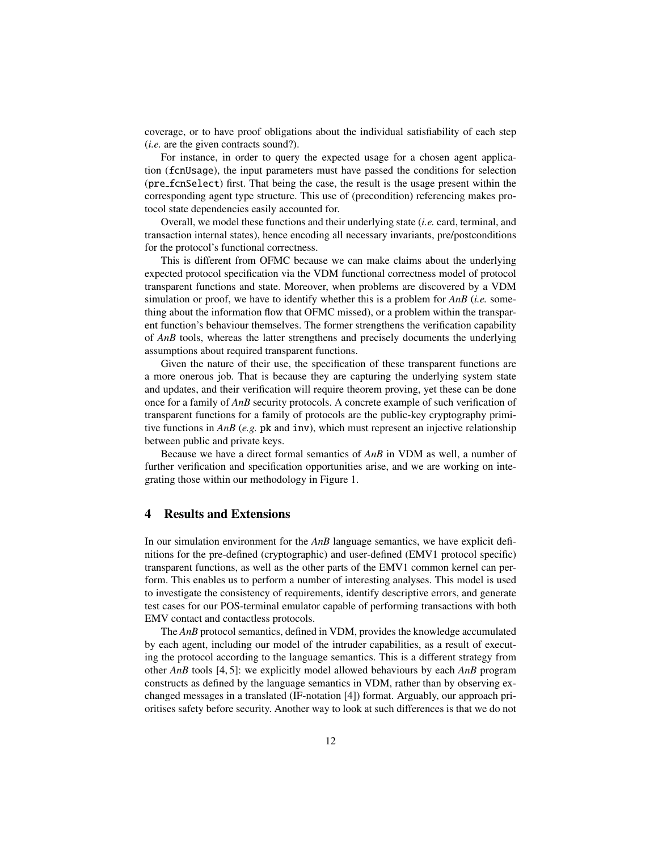coverage, or to have proof obligations about the individual satisfiability of each step (*i.e.* are the given contracts sound?).

For instance, in order to query the expected usage for a chosen agent application (fcnUsage), the input parameters must have passed the conditions for selection (pre fcnSelect) first. That being the case, the result is the usage present within the corresponding agent type structure. This use of (precondition) referencing makes protocol state dependencies easily accounted for.

Overall, we model these functions and their underlying state (*i.e.* card, terminal, and transaction internal states), hence encoding all necessary invariants, pre/postconditions for the protocol's functional correctness.

This is different from OFMC because we can make claims about the underlying expected protocol specification via the VDM functional correctness model of protocol transparent functions and state. Moreover, when problems are discovered by a VDM simulation or proof, we have to identify whether this is a problem for *AnB* (*i.e.* something about the information flow that OFMC missed), or a problem within the transparent function's behaviour themselves. The former strengthens the verification capability of *AnB* tools, whereas the latter strengthens and precisely documents the underlying assumptions about required transparent functions.

Given the nature of their use, the specification of these transparent functions are a more onerous job. That is because they are capturing the underlying system state and updates, and their verification will require theorem proving, yet these can be done once for a family of *AnB* security protocols. A concrete example of such verification of transparent functions for a family of protocols are the public-key cryptography primitive functions in *AnB* (*e.g.* pk and inv), which must represent an injective relationship between public and private keys.

Because we have a direct formal semantics of *AnB* in VDM as well, a number of further verification and specification opportunities arise, and we are working on integrating those within our methodology in Figure 1.

# 4 Results and Extensions

In our simulation environment for the *AnB* language semantics, we have explicit definitions for the pre-defined (cryptographic) and user-defined (EMV1 protocol specific) transparent functions, as well as the other parts of the EMV1 common kernel can perform. This enables us to perform a number of interesting analyses. This model is used to investigate the consistency of requirements, identify descriptive errors, and generate test cases for our POS-terminal emulator capable of performing transactions with both EMV contact and contactless protocols.

The *AnB* protocol semantics, defined in VDM, provides the knowledge accumulated by each agent, including our model of the intruder capabilities, as a result of executing the protocol according to the language semantics. This is a different strategy from other *AnB* tools [4, 5]: we explicitly model allowed behaviours by each *AnB* program constructs as defined by the language semantics in VDM, rather than by observing exchanged messages in a translated (IF-notation [4]) format. Arguably, our approach prioritises safety before security. Another way to look at such differences is that we do not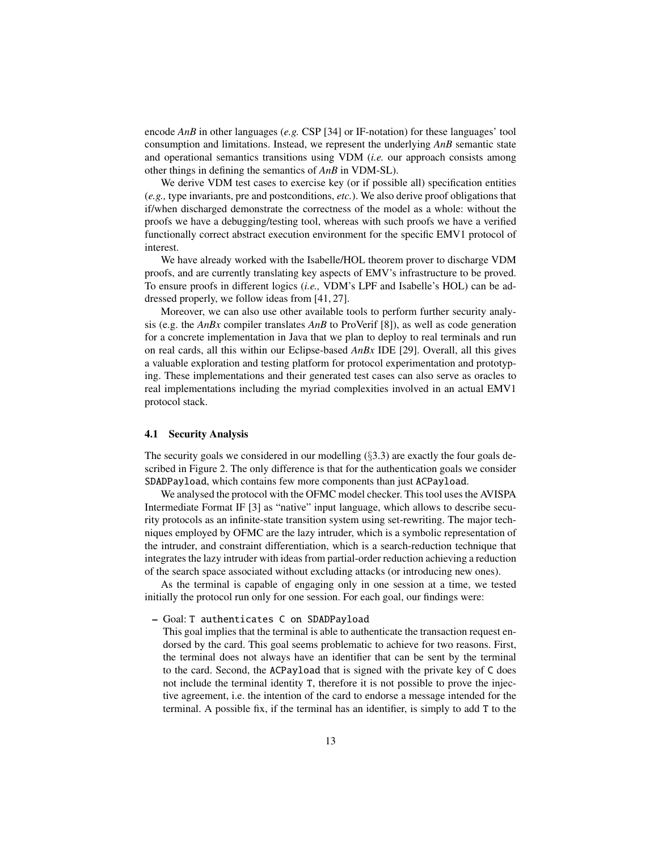encode *AnB* in other languages (*e.g.* CSP [34] or IF-notation) for these languages' tool consumption and limitations. Instead, we represent the underlying *AnB* semantic state and operational semantics transitions using VDM (*i.e.* our approach consists among other things in defining the semantics of *AnB* in VDM-SL).

We derive VDM test cases to exercise key (or if possible all) specification entities (*e.g.,* type invariants, pre and postconditions, *etc.*). We also derive proof obligations that if/when discharged demonstrate the correctness of the model as a whole: without the proofs we have a debugging/testing tool, whereas with such proofs we have a verified functionally correct abstract execution environment for the specific EMV1 protocol of interest.

We have already worked with the Isabelle/HOL theorem prover to discharge VDM proofs, and are currently translating key aspects of EMV's infrastructure to be proved. To ensure proofs in different logics (*i.e.,* VDM's LPF and Isabelle's HOL) can be addressed properly, we follow ideas from [41, 27].

Moreover, we can also use other available tools to perform further security analysis (e.g. the *AnBx* compiler translates *AnB* to ProVerif [8]), as well as code generation for a concrete implementation in Java that we plan to deploy to real terminals and run on real cards, all this within our Eclipse-based *AnBx* IDE [29]. Overall, all this gives a valuable exploration and testing platform for protocol experimentation and prototyping. These implementations and their generated test cases can also serve as oracles to real implementations including the myriad complexities involved in an actual EMV1 protocol stack.

### 4.1 Security Analysis

The security goals we considered in our modelling  $(\S 3.3)$  are exactly the four goals described in Figure 2. The only difference is that for the authentication goals we consider SDADPayload, which contains few more components than just ACPayload.

We analysed the protocol with the OFMC model checker. This tool uses the AVISPA Intermediate Format IF [3] as "native" input language, which allows to describe security protocols as an infinite-state transition system using set-rewriting. The major techniques employed by OFMC are the lazy intruder, which is a symbolic representation of the intruder, and constraint differentiation, which is a search-reduction technique that integrates the lazy intruder with ideas from partial-order reduction achieving a reduction of the search space associated without excluding attacks (or introducing new ones).

As the terminal is capable of engaging only in one session at a time, we tested initially the protocol run only for one session. For each goal, our findings were:

– Goal: T authenticates C on SDADPayload

This goal implies that the terminal is able to authenticate the transaction request endorsed by the card. This goal seems problematic to achieve for two reasons. First, the terminal does not always have an identifier that can be sent by the terminal to the card. Second, the ACPayload that is signed with the private key of C does not include the terminal identity T, therefore it is not possible to prove the injective agreement, i.e. the intention of the card to endorse a message intended for the terminal. A possible fix, if the terminal has an identifier, is simply to add T to the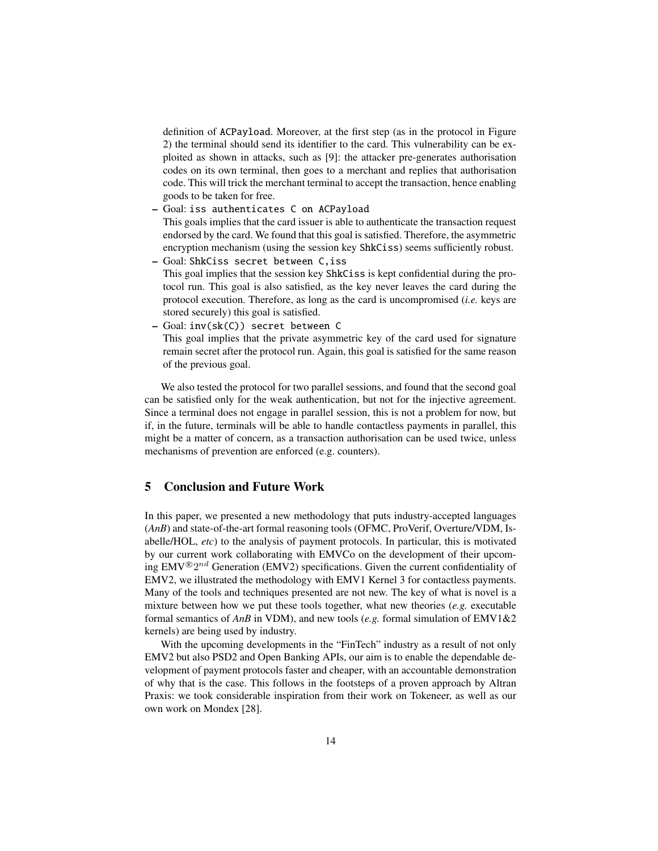definition of ACPayload. Moreover, at the first step (as in the protocol in Figure 2) the terminal should send its identifier to the card. This vulnerability can be exploited as shown in attacks, such as [9]: the attacker pre-generates authorisation codes on its own terminal, then goes to a merchant and replies that authorisation code. This will trick the merchant terminal to accept the transaction, hence enabling goods to be taken for free.

– Goal: iss authenticates C on ACPayload

This goals implies that the card issuer is able to authenticate the transaction request endorsed by the card. We found that this goal is satisfied. Therefore, the asymmetric encryption mechanism (using the session key ShkCiss) seems sufficiently robust. – Goal: ShkCiss secret between C,iss

- This goal implies that the session key ShkCiss is kept confidential during the protocol run. This goal is also satisfied, as the key never leaves the card during the protocol execution. Therefore, as long as the card is uncompromised (*i.e.* keys are stored securely) this goal is satisfied.
- Goal: inv(sk(C)) secret between C

This goal implies that the private asymmetric key of the card used for signature remain secret after the protocol run. Again, this goal is satisfied for the same reason of the previous goal.

We also tested the protocol for two parallel sessions, and found that the second goal can be satisfied only for the weak authentication, but not for the injective agreement. Since a terminal does not engage in parallel session, this is not a problem for now, but if, in the future, terminals will be able to handle contactless payments in parallel, this might be a matter of concern, as a transaction authorisation can be used twice, unless mechanisms of prevention are enforced (e.g. counters).

# 5 Conclusion and Future Work

In this paper, we presented a new methodology that puts industry-accepted languages (*AnB*) and state-of-the-art formal reasoning tools (OFMC, ProVerif, Overture/VDM, Isabelle/HOL, *etc*) to the analysis of payment protocols. In particular, this is motivated by our current work collaborating with EMVCo on the development of their upcoming EMV $\mathbb{R}^{2nd}$  Generation (EMV2) specifications. Given the current confidentiality of EMV2, we illustrated the methodology with EMV1 Kernel 3 for contactless payments. Many of the tools and techniques presented are not new. The key of what is novel is a mixture between how we put these tools together, what new theories (*e.g.* executable formal semantics of *AnB* in VDM), and new tools (*e.g.* formal simulation of EMV1&2 kernels) are being used by industry.

With the upcoming developments in the "FinTech" industry as a result of not only EMV2 but also PSD2 and Open Banking APIs, our aim is to enable the dependable development of payment protocols faster and cheaper, with an accountable demonstration of why that is the case. This follows in the footsteps of a proven approach by Altran Praxis: we took considerable inspiration from their work on Tokeneer, as well as our own work on Mondex [28].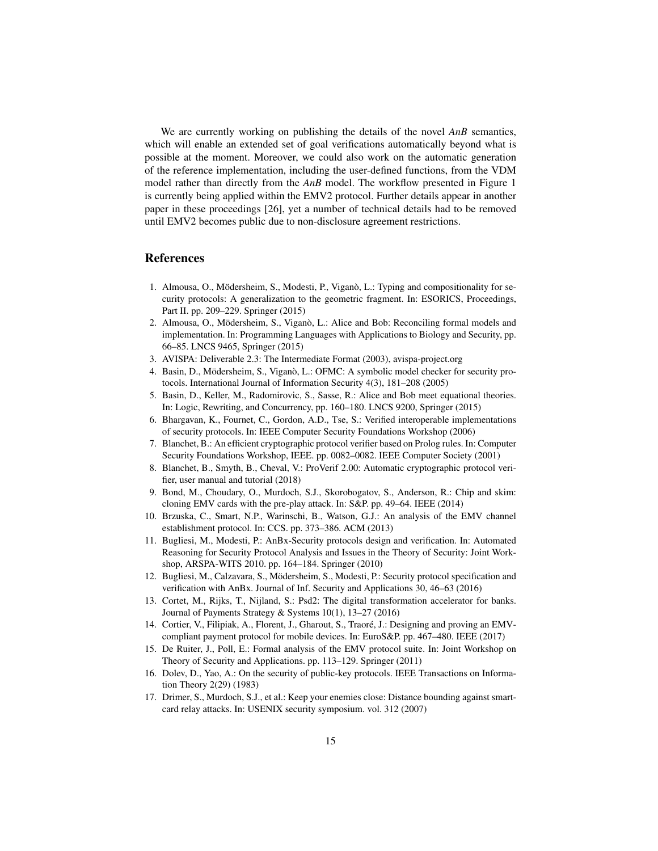We are currently working on publishing the details of the novel *AnB* semantics, which will enable an extended set of goal verifications automatically beyond what is possible at the moment. Moreover, we could also work on the automatic generation of the reference implementation, including the user-defined functions, from the VDM model rather than directly from the *AnB* model. The workflow presented in Figure 1 is currently being applied within the EMV2 protocol. Further details appear in another paper in these proceedings [26], yet a number of technical details had to be removed until EMV2 becomes public due to non-disclosure agreement restrictions.

### References

- 1. Almousa, O., Mödersheim, S., Modesti, P., Viganò, L.: Typing and compositionality for security protocols: A generalization to the geometric fragment. In: ESORICS, Proceedings, Part II. pp. 209–229. Springer (2015)
- 2. Almousa, O., Mödersheim, S., Viganò, L.: Alice and Bob: Reconciling formal models and implementation. In: Programming Languages with Applications to Biology and Security, pp. 66–85. LNCS 9465, Springer (2015)
- 3. AVISPA: Deliverable 2.3: The Intermediate Format (2003), avispa-project.org
- 4. Basin, D., Mödersheim, S., Viganò, L.: OFMC: A symbolic model checker for security protocols. International Journal of Information Security 4(3), 181–208 (2005)
- 5. Basin, D., Keller, M., Radomirovic, S., Sasse, R.: Alice and Bob meet equational theories. In: Logic, Rewriting, and Concurrency, pp. 160–180. LNCS 9200, Springer (2015)
- 6. Bhargavan, K., Fournet, C., Gordon, A.D., Tse, S.: Verified interoperable implementations of security protocols. In: IEEE Computer Security Foundations Workshop (2006)
- 7. Blanchet, B.: An efficient cryptographic protocol verifier based on Prolog rules. In: Computer Security Foundations Workshop, IEEE. pp. 0082–0082. IEEE Computer Society (2001)
- 8. Blanchet, B., Smyth, B., Cheval, V.: ProVerif 2.00: Automatic cryptographic protocol verifier, user manual and tutorial (2018)
- 9. Bond, M., Choudary, O., Murdoch, S.J., Skorobogatov, S., Anderson, R.: Chip and skim: cloning EMV cards with the pre-play attack. In: S&P. pp. 49–64. IEEE (2014)
- 10. Brzuska, C., Smart, N.P., Warinschi, B., Watson, G.J.: An analysis of the EMV channel establishment protocol. In: CCS. pp. 373–386. ACM (2013)
- 11. Bugliesi, M., Modesti, P.: AnBx-Security protocols design and verification. In: Automated Reasoning for Security Protocol Analysis and Issues in the Theory of Security: Joint Workshop, ARSPA-WITS 2010. pp. 164–184. Springer (2010)
- 12. Bugliesi, M., Calzavara, S., Modersheim, S., Modesti, P.: Security protocol specification and ¨ verification with AnBx. Journal of Inf. Security and Applications 30, 46–63 (2016)
- 13. Cortet, M., Rijks, T., Nijland, S.: Psd2: The digital transformation accelerator for banks. Journal of Payments Strategy & Systems 10(1), 13–27 (2016)
- 14. Cortier, V., Filipiak, A., Florent, J., Gharout, S., Traore, J.: Designing and proving an EMV- ´ compliant payment protocol for mobile devices. In: EuroS&P. pp. 467–480. IEEE (2017)
- 15. De Ruiter, J., Poll, E.: Formal analysis of the EMV protocol suite. In: Joint Workshop on Theory of Security and Applications. pp. 113–129. Springer (2011)
- 16. Dolev, D., Yao, A.: On the security of public-key protocols. IEEE Transactions on Information Theory 2(29) (1983)
- 17. Drimer, S., Murdoch, S.J., et al.: Keep your enemies close: Distance bounding against smartcard relay attacks. In: USENIX security symposium. vol. 312 (2007)